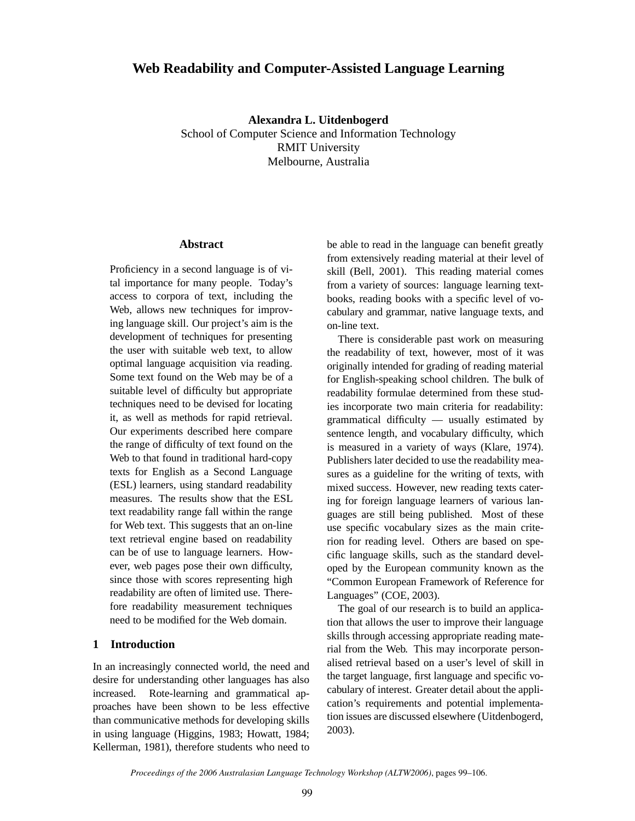# **Web Readability and Computer-Assisted Language Learning**

**Alexandra L. Uitdenbogerd** School of Computer Science and Information Technology RMIT University Melbourne, Australia

# **Abstract**

Proficiency in a second language is of vital importance for many people. Today's access to corpora of text, including the Web, allows new techniques for improving language skill. Our project's aim is the development of techniques for presenting the user with suitable web text, to allow optimal language acquisition via reading. Some text found on the Web may be of a suitable level of difficulty but appropriate techniques need to be devised for locating it, as well as methods for rapid retrieval. Our experiments described here compare the range of difficulty of text found on the Web to that found in traditional hard-copy texts for English as a Second Language (ESL) learners, using standard readability measures. The results show that the ESL text readability range fall within the range for Web text. This suggests that an on-line text retrieval engine based on readability can be of use to language learners. However, web pages pose their own difficulty, since those with scores representing high readability are often of limited use. Therefore readability measurement techniques need to be modified for the Web domain.

# **1 Introduction**

In an increasingly connected world, the need and desire for understanding other languages has also increased. Rote-learning and grammatical approaches have been shown to be less effective than communicative methods for developing skills in using language (Higgins, 1983; Howatt, 1984; Kellerman, 1981), therefore students who need to be able to read in the language can benefit greatly from extensively reading material at their level of skill (Bell, 2001). This reading material comes from a variety of sources: language learning textbooks, reading books with a specific level of vocabulary and grammar, native language texts, and on-line text.

There is considerable past work on measuring the readability of text, however, most of it was originally intended for grading of reading material for English-speaking school children. The bulk of readability formulae determined from these studies incorporate two main criteria for readability: grammatical difficulty — usually estimated by sentence length, and vocabulary difficulty, which is measured in a variety of ways (Klare, 1974). Publishers later decided to use the readability measures as a guideline for the writing of texts, with mixed success. However, new reading texts catering for foreign language learners of various languages are still being published. Most of these use specific vocabulary sizes as the main criterion for reading level. Others are based on specific language skills, such as the standard developed by the European community known as the "Common European Framework of Reference for Languages" (COE, 2003).

The goal of our research is to build an application that allows the user to improve their language skills through accessing appropriate reading material from the Web. This may incorporate personalised retrieval based on a user's level of skill in the target language, first language and specific vocabulary of interest. Greater detail about the application's requirements and potential implementation issues are discussed elsewhere (Uitdenbogerd, 2003).

*Proceedings of the 2006 Australasian Language Technology Workshop (ALTW2006)*, pages 99–106.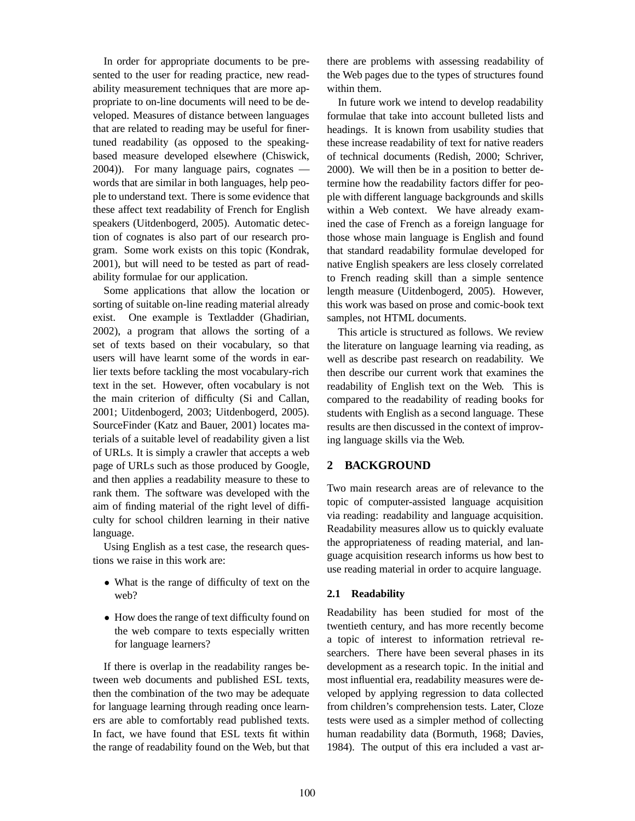In order for appropriate documents to be presented to the user for reading practice, new readability measurement techniques that are more appropriate to on-line documents will need to be developed. Measures of distance between languages that are related to reading may be useful for finertuned readability (as opposed to the speakingbased measure developed elsewhere (Chiswick, 2004)). For many language pairs, cognates words that are similar in both languages, help people to understand text. There is some evidence that these affect text readability of French for English speakers (Uitdenbogerd, 2005). Automatic detection of cognates is also part of our research program. Some work exists on this topic (Kondrak, 2001), but will need to be tested as part of readability formulae for our application.

Some applications that allow the location or sorting of suitable on-line reading material already exist. One example is Textladder (Ghadirian, 2002), a program that allows the sorting of a set of texts based on their vocabulary, so that users will have learnt some of the words in earlier texts before tackling the most vocabulary-rich text in the set. However, often vocabulary is not the main criterion of difficulty (Si and Callan, 2001; Uitdenbogerd, 2003; Uitdenbogerd, 2005). SourceFinder (Katz and Bauer, 2001) locates materials of a suitable level of readability given a list of URLs. It is simply a crawler that accepts a web page of URLs such as those produced by Google, and then applies a readability measure to these to rank them. The software was developed with the aim of finding material of the right level of difficulty for school children learning in their native language.

Using English as a test case, the research questions we raise in this work are:

- What is the range of difficulty of text on the web?
- How does the range of text difficulty found on the web compare to texts especially written for language learners?

If there is overlap in the readability ranges between web documents and published ESL texts, then the combination of the two may be adequate for language learning through reading once learners are able to comfortably read published texts. In fact, we have found that ESL texts fit within the range of readability found on the Web, but that

there are problems with assessing readability of the Web pages due to the types of structures found within them.

In future work we intend to develop readability formulae that take into account bulleted lists and headings. It is known from usability studies that these increase readability of text for native readers of technical documents (Redish, 2000; Schriver, 2000). We will then be in a position to better determine how the readability factors differ for people with different language backgrounds and skills within a Web context. We have already examined the case of French as a foreign language for those whose main language is English and found that standard readability formulae developed for native English speakers are less closely correlated to French reading skill than a simple sentence length measure (Uitdenbogerd, 2005). However, this work was based on prose and comic-book text samples, not HTML documents.

This article is structured as follows. We review the literature on language learning via reading, as well as describe past research on readability. We then describe our current work that examines the readability of English text on the Web. This is compared to the readability of reading books for students with English as a second language. These results are then discussed in the context of improving language skills via the Web.

### **2 BACKGROUND**

Two main research areas are of relevance to the topic of computer-assisted language acquisition via reading: readability and language acquisition. Readability measures allow us to quickly evaluate the appropriateness of reading material, and language acquisition research informs us how best to use reading material in order to acquire language.

### **2.1 Readability**

Readability has been studied for most of the twentieth century, and has more recently become a topic of interest to information retrieval researchers. There have been several phases in its development as a research topic. In the initial and most influential era, readability measures were developed by applying regression to data collected from children's comprehension tests. Later, Cloze tests were used as a simpler method of collecting human readability data (Bormuth, 1968; Davies, 1984). The output of this era included a vast ar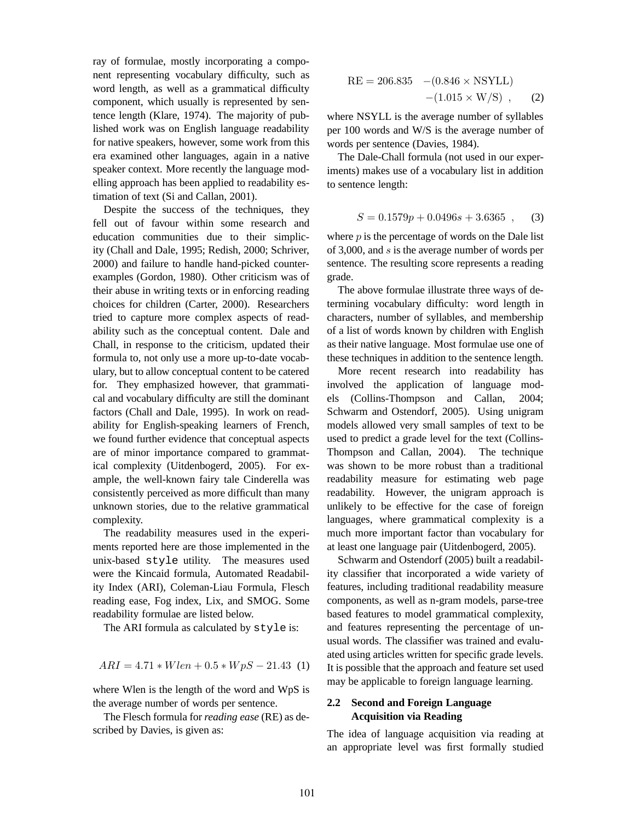ray of formulae, mostly incorporating a component representing vocabulary difficulty, such as word length, as well as a grammatical difficulty component, which usually is represented by sentence length (Klare, 1974). The majority of published work was on English language readability for native speakers, however, some work from this era examined other languages, again in a native speaker context. More recently the language modelling approach has been applied to readability estimation of text (Si and Callan, 2001).

Despite the success of the techniques, they fell out of favour within some research and education communities due to their simplicity (Chall and Dale, 1995; Redish, 2000; Schriver, 2000) and failure to handle hand-picked counterexamples (Gordon, 1980). Other criticism was of their abuse in writing texts or in enforcing reading choices for children (Carter, 2000). Researchers tried to capture more complex aspects of readability such as the conceptual content. Dale and Chall, in response to the criticism, updated their formula to, not only use a more up-to-date vocabulary, but to allow conceptual content to be catered for. They emphasized however, that grammatical and vocabulary difficulty are still the dominant factors (Chall and Dale, 1995). In work on readability for English-speaking learners of French, we found further evidence that conceptual aspects are of minor importance compared to grammatical complexity (Uitdenbogerd, 2005). For example, the well-known fairy tale Cinderella was consistently perceived as more difficult than many unknown stories, due to the relative grammatical complexity.

The readability measures used in the experiments reported here are those implemented in the unix-based style utility. The measures used were the Kincaid formula, Automated Readability Index (ARI), Coleman-Liau Formula, Flesch reading ease, Fog index, Lix, and SMOG. Some readability formulae are listed below.

The ARI formula as calculated by style is:

$$
ARI = 4.71*When +0.5*WpS - 21.43(1)
$$

where Wlen is the length of the word and WpS is the average number of words per sentence.

The Flesch formula for *reading ease* (RE) as described by Davies, is given as:

$$
RE = 206.835 - (0.846 \times \text{NSYLL}) - (1.015 \times \text{W/S}) , \quad (2)
$$

where NSYLL is the average number of syllables per 100 words and W/S is the average number of words per sentence (Davies, 1984).

The Dale-Chall formula (not used in our experiments) makes use of a vocabulary list in addition to sentence length:

$$
S = 0.1579p + 0.0496s + 3.6365 ,
$$
 (3)

where  $p$  is the percentage of words on the Dale list of 3,000, and s is the average number of words per sentence. The resulting score represents a reading grade.

The above formulae illustrate three ways of determining vocabulary difficulty: word length in characters, number of syllables, and membership of a list of words known by children with English as their native language. Most formulae use one of these techniques in addition to the sentence length.

More recent research into readability has involved the application of language models (Collins-Thompson and Callan, 2004; Schwarm and Ostendorf, 2005). Using unigram models allowed very small samples of text to be used to predict a grade level for the text (Collins-Thompson and Callan, 2004). The technique was shown to be more robust than a traditional readability measure for estimating web page readability. However, the unigram approach is unlikely to be effective for the case of foreign languages, where grammatical complexity is a much more important factor than vocabulary for at least one language pair (Uitdenbogerd, 2005).

Schwarm and Ostendorf (2005) built a readability classifier that incorporated a wide variety of features, including traditional readability measure components, as well as n-gram models, parse-tree based features to model grammatical complexity, and features representing the percentage of unusual words. The classifier was trained and evaluated using articles written for specific grade levels. It is possible that the approach and feature set used may be applicable to foreign language learning.

## **2.2 Second and Foreign Language Acquisition via Reading**

The idea of language acquisition via reading at an appropriate level was first formally studied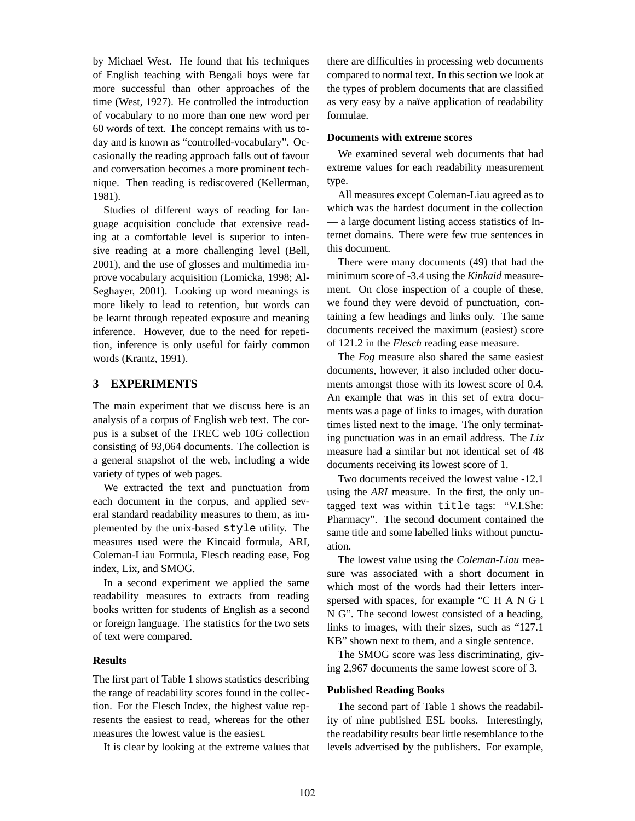by Michael West. He found that his techniques of English teaching with Bengali boys were far more successful than other approaches of the time (West, 1927). He controlled the introduction of vocabulary to no more than one new word per 60 words of text. The concept remains with us today and is known as "controlled-vocabulary". Occasionally the reading approach falls out of favour and conversation becomes a more prominent technique. Then reading is rediscovered (Kellerman, 1981).

Studies of different ways of reading for language acquisition conclude that extensive reading at a comfortable level is superior to intensive reading at a more challenging level (Bell, 2001), and the use of glosses and multimedia improve vocabulary acquisition (Lomicka, 1998; Al-Seghayer, 2001). Looking up word meanings is more likely to lead to retention, but words can be learnt through repeated exposure and meaning inference. However, due to the need for repetition, inference is only useful for fairly common words (Krantz, 1991).

# **3 EXPERIMENTS**

The main experiment that we discuss here is an analysis of a corpus of English web text. The corpus is a subset of the TREC web 10G collection consisting of 93,064 documents. The collection is a general snapshot of the web, including a wide variety of types of web pages.

We extracted the text and punctuation from each document in the corpus, and applied several standard readability measures to them, as implemented by the unix-based style utility. The measures used were the Kincaid formula, ARI, Coleman-Liau Formula, Flesch reading ease, Fog index, Lix, and SMOG.

In a second experiment we applied the same readability measures to extracts from reading books written for students of English as a second or foreign language. The statistics for the two sets of text were compared.

### **Results**

The first part of Table 1 shows statistics describing the range of readability scores found in the collection. For the Flesch Index, the highest value represents the easiest to read, whereas for the other measures the lowest value is the easiest.

It is clear by looking at the extreme values that

there are difficulties in processing web documents compared to normal text. In this section we look at the types of problem documents that are classified as very easy by a naïve application of readability formulae.

#### **Documents with extreme scores**

We examined several web documents that had extreme values for each readability measurement type.

All measures except Coleman-Liau agreed as to which was the hardest document in the collection — a large document listing access statistics of Internet domains. There were few true sentences in this document.

There were many documents (49) that had the minimum score of -3.4 using the *Kinkaid* measurement. On close inspection of a couple of these, we found they were devoid of punctuation, containing a few headings and links only. The same documents received the maximum (easiest) score of 121.2 in the *Flesch* reading ease measure.

The *Fog* measure also shared the same easiest documents, however, it also included other documents amongst those with its lowest score of 0.4. An example that was in this set of extra documents was a page of links to images, with duration times listed next to the image. The only terminating punctuation was in an email address. The *Lix* measure had a similar but not identical set of 48 documents receiving its lowest score of 1.

Two documents received the lowest value -12.1 using the *ARI* measure. In the first, the only untagged text was within title tags: "V.I.She: Pharmacy". The second document contained the same title and some labelled links without punctuation.

The lowest value using the *Coleman-Liau* measure was associated with a short document in which most of the words had their letters interspersed with spaces, for example "C H A N G I N G". The second lowest consisted of a heading, links to images, with their sizes, such as "127.1 KB" shown next to them, and a single sentence.

The SMOG score was less discriminating, giving 2,967 documents the same lowest score of 3.

#### **Published Reading Books**

The second part of Table 1 shows the readability of nine published ESL books. Interestingly, the readability results bear little resemblance to the levels advertised by the publishers. For example,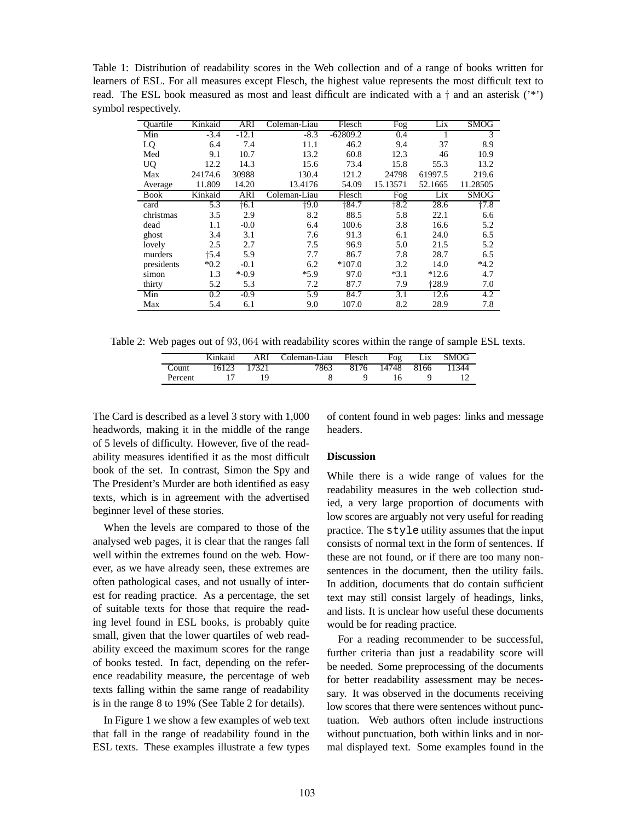Table 1: Distribution of readability scores in the Web collection and of a range of books written for learners of ESL. For all measures except Flesch, the highest value represents the most difficult text to read. The ESL book measured as most and least difficult are indicated with a  $\dagger$  and an asterisk ( $\cdot^*$ ) symbol respectively.

| Ouartile    | Kinkaid | ARI           | Coleman-Liau | Flesch     | Fog      | Lix     | SMOG     |
|-------------|---------|---------------|--------------|------------|----------|---------|----------|
| Min         | $-3.4$  | $-12.1$       | $-8.3$       | $-62809.2$ | 0.4      |         | 3        |
| LQ          | 6.4     | 7.4           | 11.1         | 46.2       | 9.4      | 37      | 8.9      |
| Med         | 9.1     | 10.7          | 13.2         | 60.8       | 12.3     | 46      | 10.9     |
| <b>UQ</b>   | 12.2    | 14.3          | 15.6         | 73.4       | 15.8     | 55.3    | 13.2     |
| Max         | 24174.6 | 30988         | 130.4        | 121.2      | 24798    | 61997.5 | 219.6    |
| Average     | 11.809  | 14.20         | 13.4176      | 54.09      | 15.13571 | 52.1665 | 11.28505 |
| <b>Book</b> | Kinkaid | ARI           | Coleman-Liau | Flesch     | Fog      | Lix     | SMOG     |
| card        | 5.3     | $\dagger$ 6.1 | $+9.0$       | $+84.7$    | $+8.2$   | 28.6    | $+7.8$   |
| christmas   | 3.5     | 2.9           | 8.2          | 88.5       | 5.8      | 22.1    | 6.6      |
| dead        | 1.1     | $-0.0$        | 6.4          | 100.6      | 3.8      | 16.6    | 5.2      |
| ghost       | 3.4     | 3.1           | 7.6          | 91.3       | 6.1      | 24.0    | 6.5      |
| lovely      | 2.5     | 2.7           | 7.5          | 96.9       | 5.0      | 21.5    | 5.2      |
| murders     | †5.4    | 5.9           | 7.7          | 86.7       | 7.8      | 28.7    | 6.5      |
| presidents  | $*0.2$  | $-0.1$        | 6.2          | $*107.0$   | 3.2      | 14.0    | $*4.2$   |
| simon       | 1.3     | $* -0.9$      | $*5.9$       | 97.0       | $*3.1$   | $*12.6$ | 4.7      |
| thirty      | 5.2     | 5.3           | 7.2          | 87.7       | 7.9      | $+28.9$ | 7.0      |
| Min         | 0.2     | $-0.9$        | 5.9          | 84.7       | 3.1      | 12.6    | 4.2      |
| Max         | 5.4     | 6.1           | 9.0          | 107.0      | 8.2      | 28.9    | 7.8      |

Table 2: Web pages out of 93, 064 with readability scores within the range of sample ESL texts.

|         | Kinkaid | ARI   | Coleman-Liau | Flesch | Fog        | Lix | <b>SMOG</b> |
|---------|---------|-------|--------------|--------|------------|-----|-------------|
| Count   | 16123   | 17321 | 7863         | 8176   | 14748 8166 |     | 11344       |
| Percent |         |       |              |        |            |     |             |

The Card is described as a level 3 story with 1,000 headwords, making it in the middle of the range of 5 levels of difficulty. However, five of the readability measures identified it as the most difficult book of the set. In contrast, Simon the Spy and The President's Murder are both identified as easy texts, which is in agreement with the advertised beginner level of these stories.

When the levels are compared to those of the analysed web pages, it is clear that the ranges fall well within the extremes found on the web. However, as we have already seen, these extremes are often pathological cases, and not usually of interest for reading practice. As a percentage, the set of suitable texts for those that require the reading level found in ESL books, is probably quite small, given that the lower quartiles of web readability exceed the maximum scores for the range of books tested. In fact, depending on the reference readability measure, the percentage of web texts falling within the same range of readability is in the range 8 to 19% (See Table 2 for details).

In Figure 1 we show a few examples of web text that fall in the range of readability found in the ESL texts. These examples illustrate a few types of content found in web pages: links and message headers.

#### **Discussion**

While there is a wide range of values for the readability measures in the web collection studied, a very large proportion of documents with low scores are arguably not very useful for reading practice. The style utility assumes that the input consists of normal text in the form of sentences. If these are not found, or if there are too many nonsentences in the document, then the utility fails. In addition, documents that do contain sufficient text may still consist largely of headings, links, and lists. It is unclear how useful these documents would be for reading practice.

For a reading recommender to be successful, further criteria than just a readability score will be needed. Some preprocessing of the documents for better readability assessment may be necessary. It was observed in the documents receiving low scores that there were sentences without punctuation. Web authors often include instructions without punctuation, both within links and in normal displayed text. Some examples found in the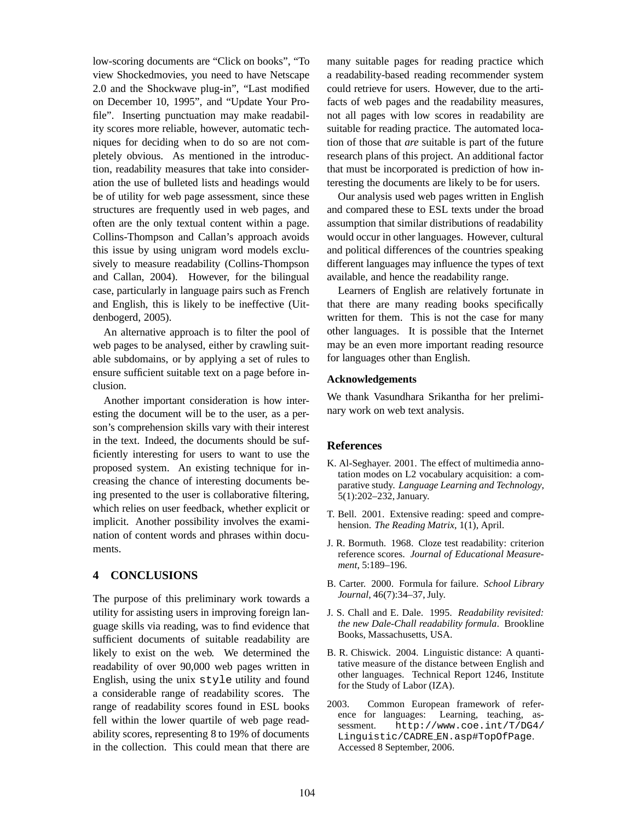low-scoring documents are "Click on books", "To view Shockedmovies, you need to have Netscape 2.0 and the Shockwave plug-in", "Last modified on December 10, 1995", and "Update Your Profile". Inserting punctuation may make readability scores more reliable, however, automatic techniques for deciding when to do so are not completely obvious. As mentioned in the introduction, readability measures that take into consideration the use of bulleted lists and headings would be of utility for web page assessment, since these structures are frequently used in web pages, and often are the only textual content within a page. Collins-Thompson and Callan's approach avoids this issue by using unigram word models exclusively to measure readability (Collins-Thompson and Callan, 2004). However, for the bilingual case, particularly in language pairs such as French and English, this is likely to be ineffective (Uitdenbogerd, 2005).

An alternative approach is to filter the pool of web pages to be analysed, either by crawling suitable subdomains, or by applying a set of rules to ensure sufficient suitable text on a page before inclusion.

Another important consideration is how interesting the document will be to the user, as a person's comprehension skills vary with their interest in the text. Indeed, the documents should be sufficiently interesting for users to want to use the proposed system. An existing technique for increasing the chance of interesting documents being presented to the user is collaborative filtering, which relies on user feedback, whether explicit or implicit. Another possibility involves the examination of content words and phrases within documents.

## **4 CONCLUSIONS**

The purpose of this preliminary work towards a utility for assisting users in improving foreign language skills via reading, was to find evidence that sufficient documents of suitable readability are likely to exist on the web. We determined the readability of over 90,000 web pages written in English, using the unix style utility and found a considerable range of readability scores. The range of readability scores found in ESL books fell within the lower quartile of web page readability scores, representing 8 to 19% of documents in the collection. This could mean that there are

many suitable pages for reading practice which a readability-based reading recommender system could retrieve for users. However, due to the artifacts of web pages and the readability measures, not all pages with low scores in readability are suitable for reading practice. The automated location of those that *are* suitable is part of the future research plans of this project. An additional factor that must be incorporated is prediction of how interesting the documents are likely to be for users.

Our analysis used web pages written in English and compared these to ESL texts under the broad assumption that similar distributions of readability would occur in other languages. However, cultural and political differences of the countries speaking different languages may influence the types of text available, and hence the readability range.

Learners of English are relatively fortunate in that there are many reading books specifically written for them. This is not the case for many other languages. It is possible that the Internet may be an even more important reading resource for languages other than English.

#### **Acknowledgements**

We thank Vasundhara Srikantha for her preliminary work on web text analysis.

### **References**

- K. Al-Seghayer. 2001. The effect of multimedia annotation modes on L2 vocabulary acquisition: a comparative study. *Language Learning and Technology*, 5(1):202–232, January.
- T. Bell. 2001. Extensive reading: speed and comprehension. *The Reading Matrix*, 1(1), April.
- J. R. Bormuth. 1968. Cloze test readability: criterion reference scores. *Journal of Educational Measurement*, 5:189–196.
- B. Carter. 2000. Formula for failure. *School Library Journal*, 46(7):34–37, July.
- J. S. Chall and E. Dale. 1995. *Readability revisited: the new Dale-Chall readability formula*. Brookline Books, Massachusetts, USA.
- B. R. Chiswick. 2004. Linguistic distance: A quantitative measure of the distance between English and other languages. Technical Report 1246, Institute for the Study of Labor (IZA).
- 2003. Common European framework of reference for languages: Learning, teaching, assessment. http://www.coe.int/T/DG4/ Linguistic/CADRE EN.asp#TopOfPage. Accessed 8 September, 2006.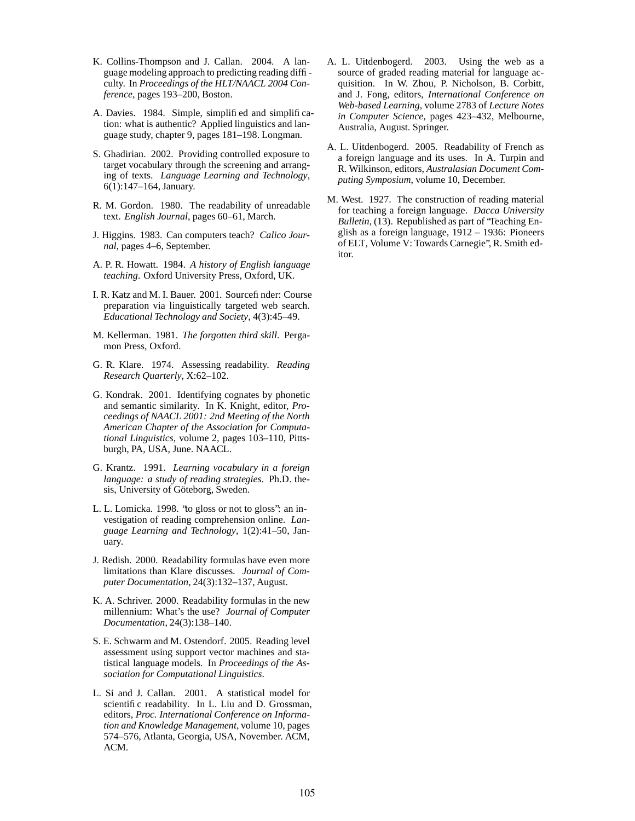- K. Collins-Thompson and J. Callan. 2004. A language modeling approach to predicting reading diffi culty. In *Proceedings of the HLT/NAACL 2004 Conference*, pages 193–200, Boston.
- A. Davies. 1984. Simple, simplifi ed and simplifi cation: what is authentic? Applied linguistics and language study, chapter 9, pages 181–198. Longman.
- S. Ghadirian. 2002. Providing controlled exposure to target vocabulary through the screening and arranging of texts. *Language Learning and Technology*, 6(1):147–164, January.
- R. M. Gordon. 1980. The readability of unreadable text. *English Journal*, pages 60–61, March.
- J. Higgins. 1983. Can computers teach? *Calico Journal*, pages 4–6, September.
- A. P. R. Howatt. 1984. *A history of English language teaching*. Oxford University Press, Oxford, UK.
- I. R. Katz and M. I. Bauer. 2001. Sourcefi nder: Course preparation via linguistically targeted web search. *Educational Technology and Society*, 4(3):45–49.
- M. Kellerman. 1981. *The forgotten third skill*. Pergamon Press, Oxford.
- G. R. Klare. 1974. Assessing readability. *Reading Research Quarterly*, X:62–102.
- G. Kondrak. 2001. Identifying cognates by phonetic and semantic similarity. In K. Knight, editor, *Proceedings of NAACL 2001: 2nd Meeting of the North American Chapter of the Association for Computational Linguistics*, volume 2, pages 103–110, Pittsburgh, PA, USA, June. NAACL.
- G. Krantz. 1991. *Learning vocabulary in a foreign language: a study of reading strategies*. Ph.D. thesis, University of Göteborg, Sweden.
- L. L. Lomicka. 1998. "to gloss or not to gloss": an investigation of reading comprehension online. *Language Learning and Technology*, 1(2):41–50, January.
- J. Redish. 2000. Readability formulas have even more limitations than Klare discusses. *Journal of Computer Documentation*, 24(3):132–137, August.
- K. A. Schriver. 2000. Readability formulas in the new millennium: What's the use? *Journal of Computer Documentation*, 24(3):138–140.
- S. E. Schwarm and M. Ostendorf. 2005. Reading level assessment using support vector machines and statistical language models. In *Proceedings of the Association for Computational Linguistics*.
- L. Si and J. Callan. 2001. A statistical model for scientifi c readability. In L. Liu and D. Grossman, editors, *Proc. International Conference on Information and Knowledge Management*, volume 10, pages 574–576, Atlanta, Georgia, USA, November. ACM, ACM.
- A. L. Uitdenbogerd. 2003. Using the web as a source of graded reading material for language acquisition. In W. Zhou, P. Nicholson, B. Corbitt, and J. Fong, editors, *International Conference on Web-based Learning*, volume 2783 of *Lecture Notes in Computer Science*, pages 423–432, Melbourne, Australia, August. Springer.
- A. L. Uitdenbogerd. 2005. Readability of French as a foreign language and its uses. In A. Turpin and R. Wilkinson, editors, *Australasian Document Computing Symposium*, volume 10, December.
- M. West. 1927. The construction of reading material for teaching a foreign language. *Dacca University Bulletin*, (13). Republished as part of "Teaching English as a foreign language, 1912 – 1936: Pioneers of ELT, Volume V: Towards Carnegie", R. Smith editor.